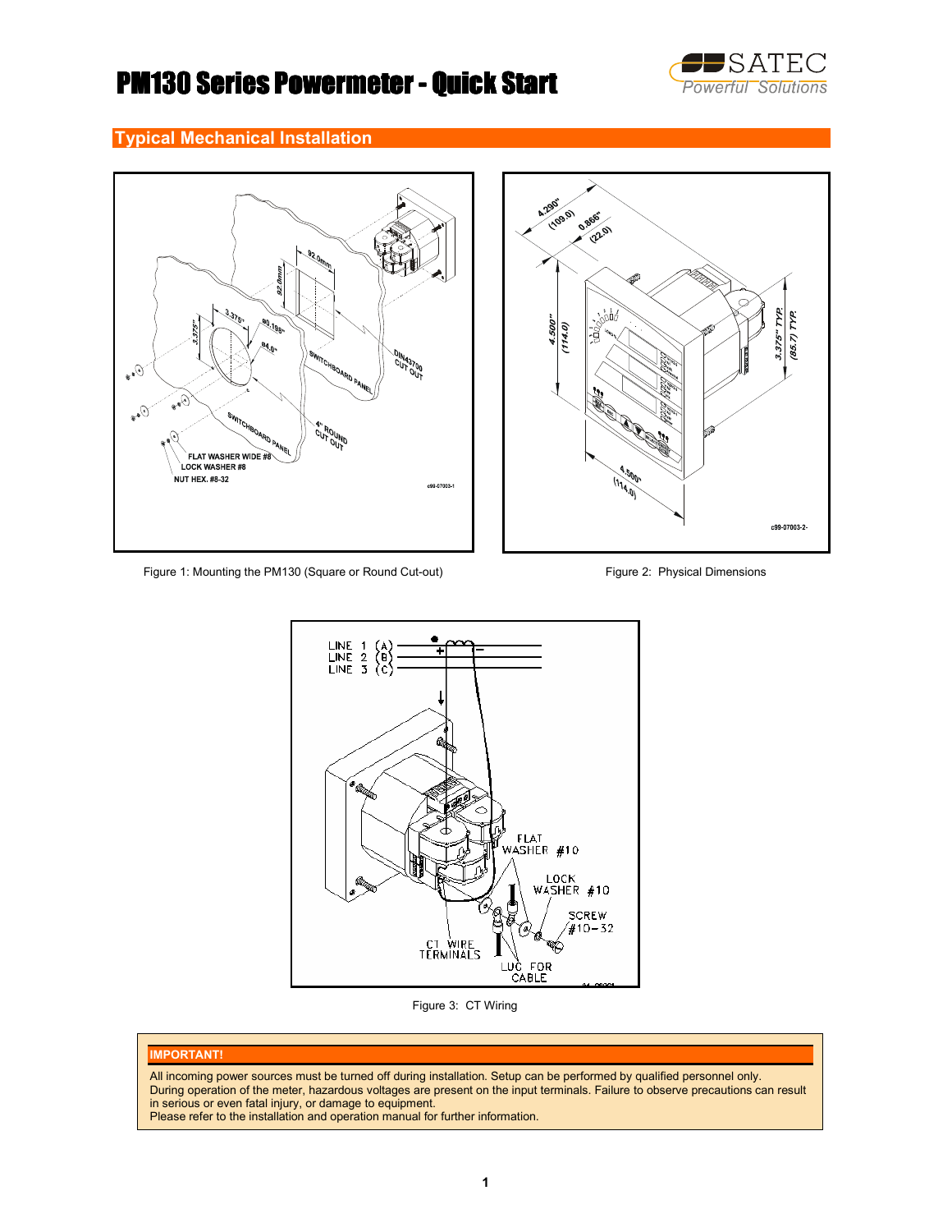

# PM130 Series Powermeter - Quick Start

## Typical Mechanical Installation





Figure 1: Mounting the PM130 (Square or Round Cut-out) Figure 2: Physical Dimensions



Figure 3: CT Wiring

#### IMPORTANT!

All incoming power sources must be turned off during installation. Setup can be performed by qualified personnel only. During operation of the meter, hazardous voltages are present on the input terminals. Failure to observe precautions can result in serious or even fatal injury, or damage to equipment.

Please refer to the installation and operation manual for further information.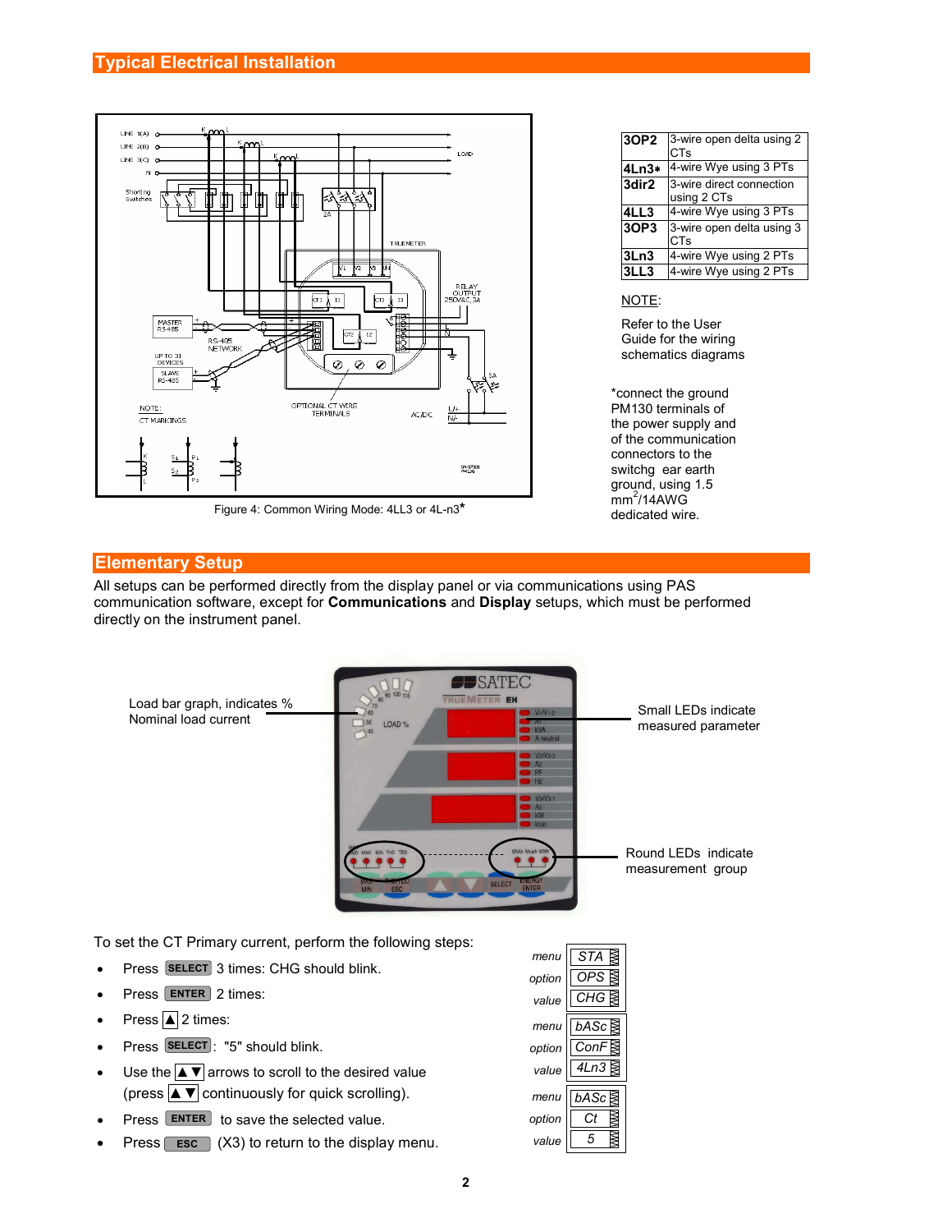

Figure 4: Common Wiring Mode: 4LL3 or 4L-n3\*

| 3OP2  | 3-wire open delta using 2<br><b>CTs</b> |
|-------|-----------------------------------------|
| 4Ln3* | 4-wire Wye using 3 PTs                  |
| 3dir2 | 3-wire direct connection<br>using 2 CTs |
| 4LL3  | 4-wire Wye using 3 PTs                  |
| 3OP3  | 3-wire open delta using 3<br>CTs        |
| 3Ln3  | 4-wire Wye using 2 PTs                  |
| LL3   | 4-wire Wye using 2 PTs                  |

#### NOTE:

Refer to the User Guide for the wiring schematics diagrams

\*connect the ground PM130 terminals of the power supply and of the communication connectors to the switchg ear earth ground, using 1.5  $\text{mm}^2$ /14AWG dedicated wire.

#### Elementary Setup

All setups can be performed directly from the display panel or via communications using PAS communication software, except for Communications and Display setups, which must be performed directly on the instrument panel.



To set the CT Primary current, perform the following steps:

- Press **SELECT** 3 times: CHG should blink.
- $\bullet$  Press  $\boxed{\text{ENTER}}$  2 times:
- Press  $\boxed{\blacktriangle}$  2 times:
- Press SELECT: "5" should blink.
- Use the  $\overline{\blacktriangle$   $\blacktriangledown$  arrows to scroll to the desired value (press  $\blacktriangle \blacktriangledown$  continuously for quick scrolling).
- $\bullet$  Press  $\boxed{\text{ENTER}}$  to save the selected value.
- Press  $\boxed{\text{esc}}$  (X3) to return to the display menu.

|        | $m$ enu $\sqrt{STA}$ |
|--------|----------------------|
| option | OPS                  |
| value  | CHG                  |
| menu   | bASc                 |
|        | option ConF          |
| value  | 4Ln3                 |
| menu   | bASc                 |
| option | Ct                   |
| value  |                      |
|        |                      |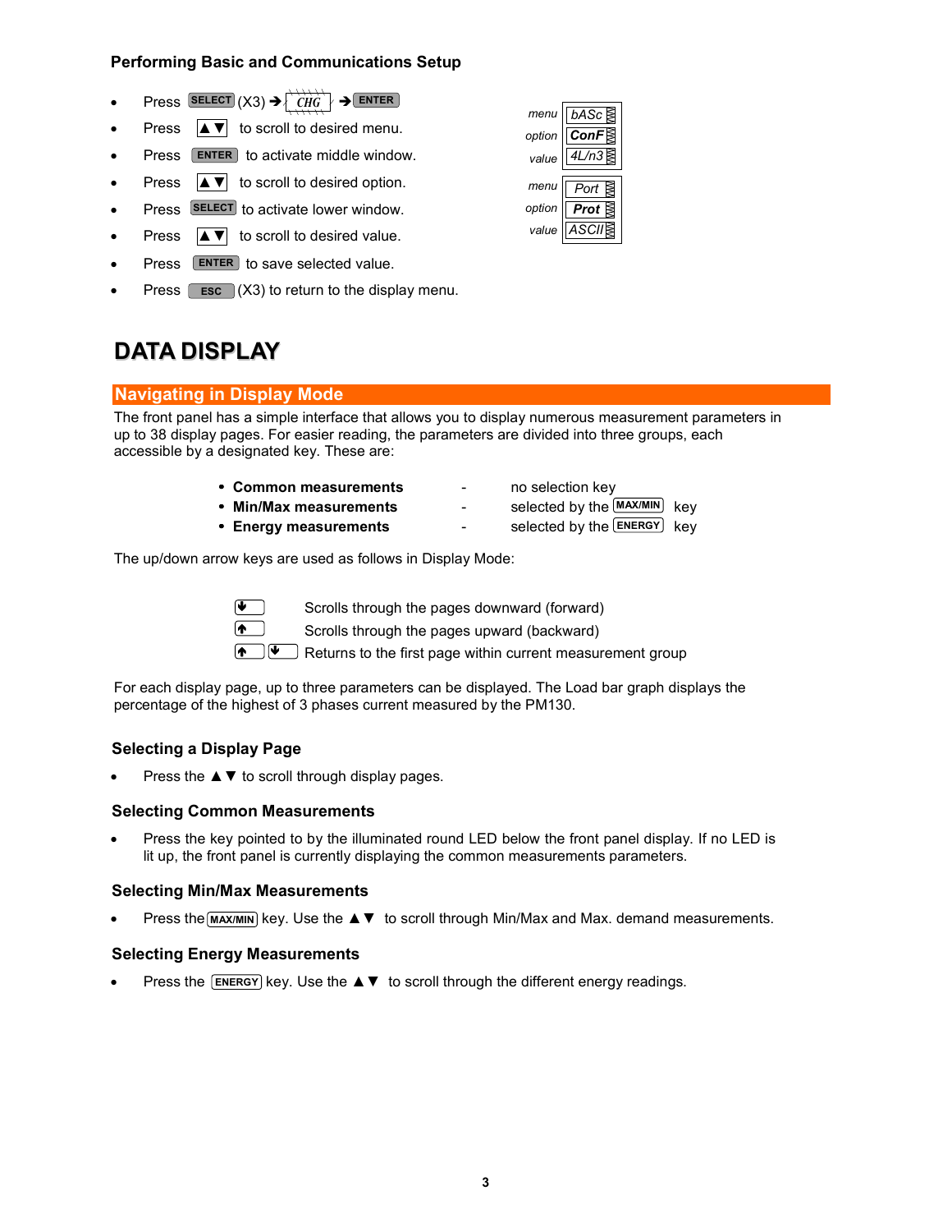## Performing Basic and Communications Setup

- Press SELECT  $(X3) \rightarrow \begin{array}{|c|c|c|c|c|c|c|c|c|c|c|c} \rightarrow & & \text{ENTER} \end{array}$
- Press  $\boxed{\blacktriangle$   $\blacktriangledown$  to scroll to desired menu.
- Press ENTER to activate middle window.
- Press  $\left| \blacktriangle \blacktriangledown \right|$  to scroll to desired option.
- Press SELECT to activate lower window.
- Press  $|\triangle \blacktriangledown|$  to scroll to desired value.
- Press ENTER to save selected value.
- Press  $\boxed{\text{esc}}$  (X3) to return to the display menu.

## DATA DISPLAY

## Navigating in Display Mode

The front panel has a simple interface that allows you to display numerous measurement parameters in up to 38 display pages. For easier reading, the parameters are divided into three groups, each accessible by a designated key. These are:

- Common measurements no selection key
- 
- Energy measurements
- 
- Min/Max measurements selected by the MAX/MIN key
	- selected by the **ENERGY** key

The up/down arrow keys are used as follows in Display Mode:



Scrolls through the pages downward (forward)

Scrolls through the pages upward (backward)

**A**  $\Box$  Returns to the first page within current measurement group

For each display page, up to three parameters can be displayed. The Load bar graph displays the percentage of the highest of 3 phases current measured by the PM130.

## Selecting a Display Page

Press the  $\blacktriangle \blacktriangledown$  to scroll through display pages.

### Selecting Common Measurements

• Press the key pointed to by the illuminated round LED below the front panel display. If no LED is lit up, the front panel is currently displaying the common measurements parameters.

### Selecting Min/Max Measurements

• Press the MAX/MIN key. Use the A ▼ to scroll through Min/Max and Max. demand measurements.

### Selecting Energy Measurements

• Press the **ENERGY** key. Use the ▲▼ to scroll through the different energy readings.

|        | menu $\overline{b}$ bASc          |
|--------|-----------------------------------|
| option | $\overline{\mathsf{ConF}}$        |
|        | value $\sqrt{\frac{4L/n3}{8}}$    |
|        |                                   |
|        | menu $\sqrt{$ Port $\geq$         |
|        |                                   |
| option |                                   |
|        | pption <b>Prot</b><br>value ASCII |